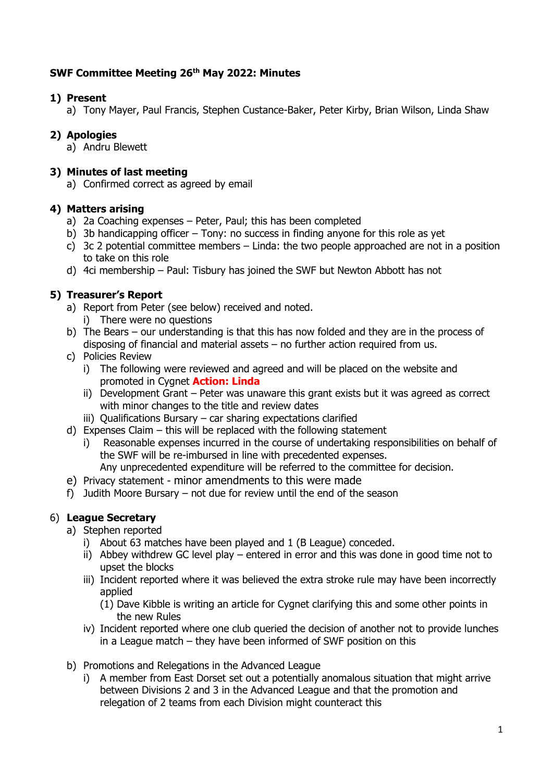# **SWF Committee Meeting 26th May 2022: Minutes**

# **1) Present**

a) Tony Mayer, Paul Francis, Stephen Custance-Baker, Peter Kirby, Brian Wilson, Linda Shaw

# **2) Apologies**

a) Andru Blewett

## **3) Minutes of last meeting**

a) Confirmed correct as agreed by email

## **4) Matters arising**

- a) 2a Coaching expenses Peter, Paul; this has been completed
- b) 3b handicapping officer Tony: no success in finding anyone for this role as yet
- c) 3c 2 potential committee members Linda: the two people approached are not in a position to take on this role
- d) 4ci membership Paul: Tisbury has joined the SWF but Newton Abbott has not

# **5) Treasurer's Report**

- a) Report from Peter (see below) received and noted.
	- i) There were no questions
- b) The Bears our understanding is that this has now folded and they are in the process of disposing of financial and material assets – no further action required from us.
- c) Policies Review
	- i) The following were reviewed and agreed and will be placed on the website and promoted in Cygnet **Action: Linda**
	- ii) Development Grant Peter was unaware this grant exists but it was agreed as correct with minor changes to the title and review dates
	- iii) Qualifications Bursary car sharing expectations clarified
- d) Expenses Claim this will be replaced with the following statement
	- i) Reasonable expenses incurred in the course of undertaking responsibilities on behalf of the SWF will be re-imbursed in line with precedented expenses.
		- Any unprecedented expenditure will be referred to the committee for decision.
- e) Privacy statement minor amendments to this were made
- f) Judith Moore Bursary not due for review until the end of the season

## 6) **League Secretary**

- a) Stephen reported
	- i) About 63 matches have been played and 1 (B League) conceded.
	- ii) Abbey withdrew GC level play entered in error and this was done in good time not to upset the blocks
	- iii) Incident reported where it was believed the extra stroke rule may have been incorrectly applied
		- (1) Dave Kibble is writing an article for Cygnet clarifying this and some other points in the new Rules
	- iv) Incident reported where one club queried the decision of another not to provide lunches in a League match – they have been informed of SWF position on this
- b) Promotions and Relegations in the Advanced League
	- i) A member from East Dorset set out a potentially anomalous situation that might arrive between Divisions 2 and 3 in the Advanced League and that the promotion and relegation of 2 teams from each Division might counteract this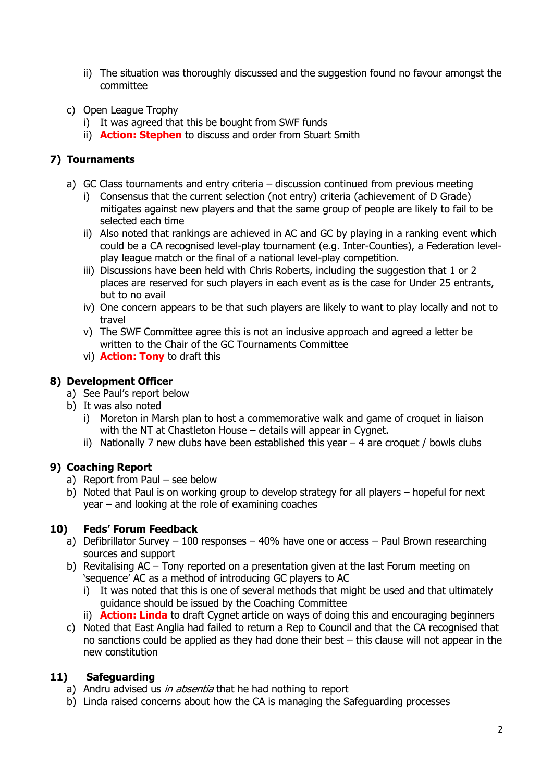- ii) The situation was thoroughly discussed and the suggestion found no favour amongst the committee
- c) Open League Trophy
	- i) It was agreed that this be bought from SWF funds
	- ii) **Action: Stephen** to discuss and order from Stuart Smith

# **7) Tournaments**

- a) GC Class tournaments and entry criteria discussion continued from previous meeting
	- i) Consensus that the current selection (not entry) criteria (achievement of D Grade) mitigates against new players and that the same group of people are likely to fail to be selected each time
	- ii) Also noted that rankings are achieved in AC and GC by playing in a ranking event which could be a CA recognised level-play tournament (e.g. Inter-Counties), a Federation levelplay league match or the final of a national level-play competition.
	- iii) Discussions have been held with Chris Roberts, including the suggestion that 1 or 2 places are reserved for such players in each event as is the case for Under 25 entrants, but to no avail
	- iv) One concern appears to be that such players are likely to want to play locally and not to travel
	- v) The SWF Committee agree this is not an inclusive approach and agreed a letter be written to the Chair of the GC Tournaments Committee
	- vi) **Action: Tony** to draft this

# **8) Development Officer**

- a) See Paul's report below
- b) It was also noted
	- i) Moreton in Marsh plan to host a commemorative walk and game of croquet in liaison with the NT at Chastleton House – details will appear in Cygnet.
	- ii) Nationally 7 new clubs have been established this year  $-$  4 are croquet / bowls clubs

# **9) Coaching Report**

- a) Report from Paul see below
- b) Noted that Paul is on working group to develop strategy for all players hopeful for next year – and looking at the role of examining coaches

## **10) Feds' Forum Feedback**

- a) Defibrillator Survey 100 responses 40% have one or access Paul Brown researching sources and support
- b) Revitalising AC Tony reported on a presentation given at the last Forum meeting on 'sequence' AC as a method of introducing GC players to AC
	- i) It was noted that this is one of several methods that might be used and that ultimately guidance should be issued by the Coaching Committee
	- ii) **Action: Linda** to draft Cygnet article on ways of doing this and encouraging beginners
- c) Noted that East Anglia had failed to return a Rep to Council and that the CA recognised that no sanctions could be applied as they had done their best – this clause will not appear in the new constitution

## **11) Safeguarding**

- a) Andru advised us *in absentia* that he had nothing to report
- b) Linda raised concerns about how the CA is managing the Safeguarding processes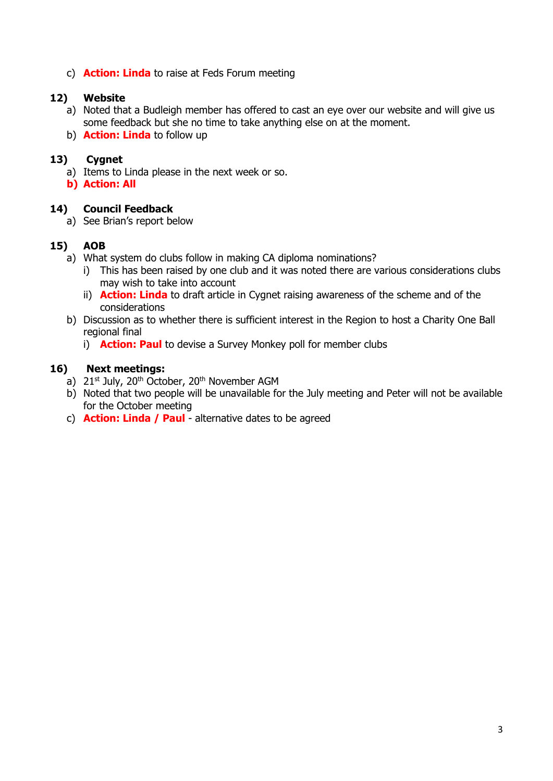c) **Action: Linda** to raise at Feds Forum meeting

## **12) Website**

- a) Noted that a Budleigh member has offered to cast an eye over our website and will give us some feedback but she no time to take anything else on at the moment.
- b) **Action: Linda** to follow up

### **13) Cygnet**

- a) Items to Linda please in the next week or so.
- **b) Action: All**

## **14) Council Feedback**

a) See Brian's report below

#### **15) AOB**

- a) What system do clubs follow in making CA diploma nominations?
	- i) This has been raised by one club and it was noted there are various considerations clubs may wish to take into account
	- ii) **Action: Linda** to draft article in Cygnet raising awareness of the scheme and of the considerations
- b) Discussion as to whether there is sufficient interest in the Region to host a Charity One Ball regional final
	- i) **Action: Paul** to devise a Survey Monkey poll for member clubs

## **16) Next meetings:**

- a)  $21^{st}$  July,  $20^{th}$  October,  $20^{th}$  November AGM
- b) Noted that two people will be unavailable for the July meeting and Peter will not be available for the October meeting
- c) **Action: Linda / Paul** alternative dates to be agreed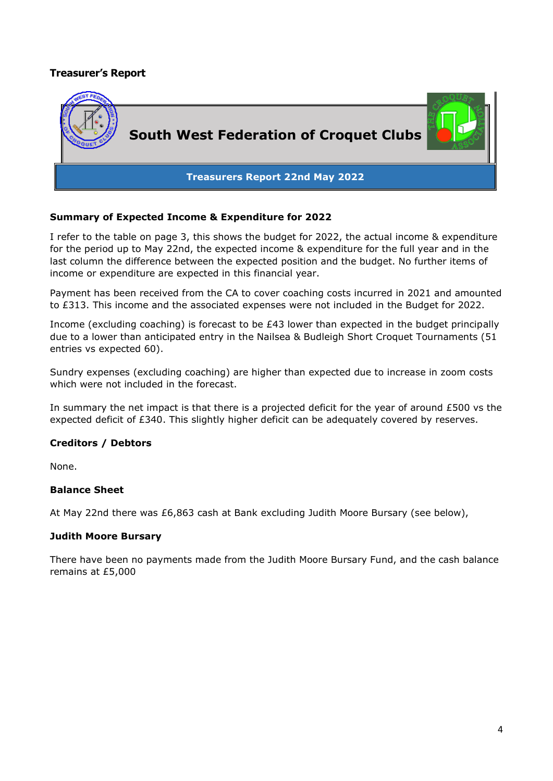## **Treasurer's Report**



#### **Summary of Expected Income & Expenditure for 2022**

I refer to the table on page 3, this shows the budget for 2022, the actual income & expenditure for the period up to May 22nd, the expected income & expenditure for the full year and in the last column the difference between the expected position and the budget. No further items of income or expenditure are expected in this financial year.

Payment has been received from the CA to cover coaching costs incurred in 2021 and amounted to £313. This income and the associated expenses were not included in the Budget for 2022.

Income (excluding coaching) is forecast to be £43 lower than expected in the budget principally due to a lower than anticipated entry in the Nailsea & Budleigh Short Croquet Tournaments (51 entries vs expected 60).

Sundry expenses (excluding coaching) are higher than expected due to increase in zoom costs which were not included in the forecast.

In summary the net impact is that there is a projected deficit for the year of around £500 vs the expected deficit of £340. This slightly higher deficit can be adequately covered by reserves.

#### **Creditors / Debtors**

None.

#### **Balance Sheet**

At May 22nd there was £6,863 cash at Bank excluding Judith Moore Bursary (see below),

#### **Judith Moore Bursary**

There have been no payments made from the Judith Moore Bursary Fund, and the cash balance remains at £5,000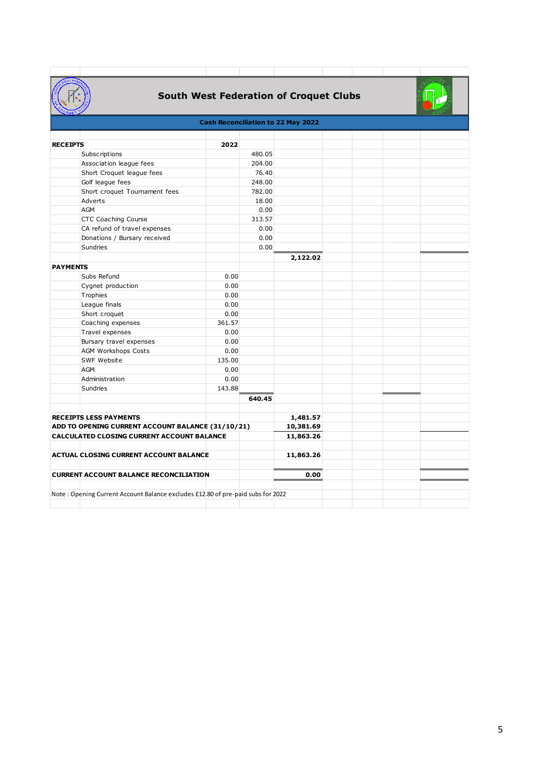

# **South West Federation of Croquet Clubs**

<u> The Communication of the Communication of</u>

 $\sim 10^{-10}$ 

ET.

 $\mathbb{R}^n$ 

 $\overline{\phantom{a}}$ 

|                                                   |                                                                                 |        |                 |           |  |  | <b>All And</b> |  |  |  |
|---------------------------------------------------|---------------------------------------------------------------------------------|--------|-----------------|-----------|--|--|----------------|--|--|--|
| <b>Cash Reconciliation to 22 May 2022</b>         |                                                                                 |        |                 |           |  |  |                |  |  |  |
|                                                   |                                                                                 |        |                 |           |  |  |                |  |  |  |
| <b>RECEIPTS</b>                                   |                                                                                 | 2022   |                 |           |  |  |                |  |  |  |
|                                                   | Subscriptions                                                                   |        | 480.05          |           |  |  |                |  |  |  |
|                                                   | Association league fees<br>Short Croquet league fees                            |        | 204.00<br>76.40 |           |  |  |                |  |  |  |
|                                                   | Golf league fees                                                                |        | 248.00          |           |  |  |                |  |  |  |
|                                                   | Short croquet Tournament fees                                                   |        | 782.00          |           |  |  |                |  |  |  |
| Adverts                                           |                                                                                 |        | 18.00           |           |  |  |                |  |  |  |
| AGM                                               |                                                                                 |        | 0.00            |           |  |  |                |  |  |  |
|                                                   |                                                                                 |        |                 |           |  |  |                |  |  |  |
|                                                   | <b>CTC Coaching Course</b><br>CA refund of travel expenses                      |        | 313.57<br>0.00  |           |  |  |                |  |  |  |
|                                                   | Donations / Bursary received                                                    |        | 0.00            |           |  |  |                |  |  |  |
| Sundries                                          |                                                                                 |        | 0.00            |           |  |  |                |  |  |  |
|                                                   |                                                                                 |        |                 |           |  |  |                |  |  |  |
| <b>PAYMENTS</b>                                   |                                                                                 |        |                 | 2,122.02  |  |  |                |  |  |  |
|                                                   | Subs Refund                                                                     | 0.00   |                 |           |  |  |                |  |  |  |
|                                                   | Cygnet production                                                               | 0.00   |                 |           |  |  |                |  |  |  |
| Trophies                                          |                                                                                 | 0.00   |                 |           |  |  |                |  |  |  |
|                                                   | League finals                                                                   | 0.00   |                 |           |  |  |                |  |  |  |
|                                                   | Short croquet                                                                   | 0.00   |                 |           |  |  |                |  |  |  |
|                                                   | Coaching expenses                                                               | 361.57 |                 |           |  |  |                |  |  |  |
|                                                   | Travel expenses                                                                 | 0.00   |                 |           |  |  |                |  |  |  |
|                                                   | Bursary travel expenses                                                         | 0.00   |                 |           |  |  |                |  |  |  |
|                                                   | <b>AGM Workshops Costs</b>                                                      | 0.00   |                 |           |  |  |                |  |  |  |
|                                                   | SWF Website                                                                     | 135.00 |                 |           |  |  |                |  |  |  |
| AGM                                               |                                                                                 | 0.00   |                 |           |  |  |                |  |  |  |
|                                                   | Administration                                                                  | 0.00   |                 |           |  |  |                |  |  |  |
| Sundries                                          |                                                                                 | 143.88 |                 |           |  |  |                |  |  |  |
|                                                   |                                                                                 |        | 640.45          |           |  |  |                |  |  |  |
|                                                   |                                                                                 |        |                 |           |  |  |                |  |  |  |
| <b>RECEIPTS LESS PAYMENTS</b>                     |                                                                                 |        |                 | 1,481.57  |  |  |                |  |  |  |
| ADD TO OPENING CURRENT ACCOUNT BALANCE (31/10/21) |                                                                                 |        |                 | 10,381.69 |  |  |                |  |  |  |
| <b>CALCULATED CLOSING CURRENT ACCOUNT BALANCE</b> |                                                                                 |        |                 | 11,863.26 |  |  |                |  |  |  |
|                                                   |                                                                                 |        |                 |           |  |  |                |  |  |  |
| <b>ACTUAL CLOSING CURRENT ACCOUNT BALANCE</b>     |                                                                                 |        |                 | 11,863.26 |  |  |                |  |  |  |
|                                                   |                                                                                 |        |                 |           |  |  |                |  |  |  |
| <b>CURRENT ACCOUNT BALANCE RECONCILIATION</b>     |                                                                                 |        |                 | 0.00      |  |  |                |  |  |  |
|                                                   |                                                                                 |        |                 |           |  |  |                |  |  |  |
|                                                   | Note: Opening Current Account Balance excludes £12.80 of pre-paid subs for 2022 |        |                 |           |  |  |                |  |  |  |
|                                                   |                                                                                 |        |                 |           |  |  |                |  |  |  |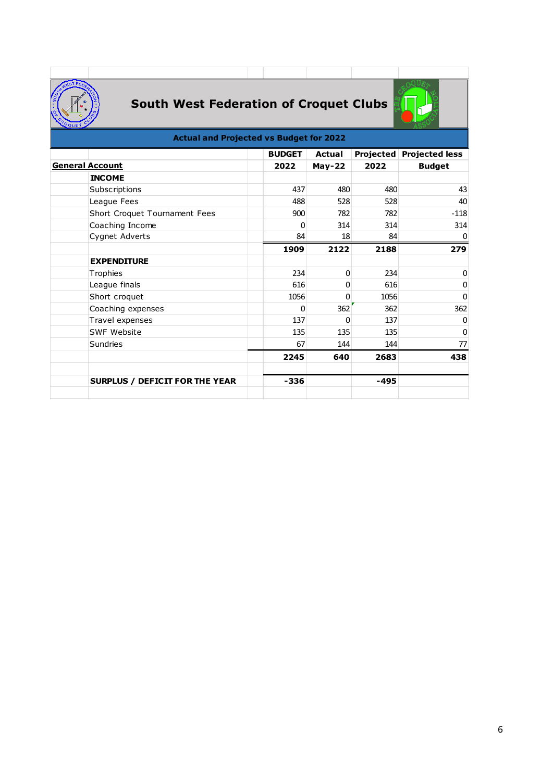

# **South West Federation of Croquet Clubs**



## **Actual and Projected vs Budget for 2022**

|                                       | <b>BUDGET</b> | Actual   |      | Projected Projected less |
|---------------------------------------|---------------|----------|------|--------------------------|
| <b>General Account</b>                | 2022          | $May-22$ | 2022 | <b>Budget</b>            |
| <b>INCOME</b>                         |               |          |      |                          |
| Subscriptions                         | 437           | 480      | 480  | 43                       |
| League Fees                           | 488           | 528      | 528  | 40                       |
| Short Croquet Tournament Fees         | 900           | 782      | 782  | $-118$                   |
| Coaching Income                       | 0             | 314      | 314  | 314                      |
| Cygnet Adverts                        | 84            | 18       | 84   | 0                        |
|                                       | 1909          | 2122     | 2188 | 279                      |
| <b>EXPENDITURE</b>                    |               |          |      |                          |
| Trophies                              | 234           | 0        | 234  | 0                        |
| League finals                         | 616           | ი        | 616  | 0                        |
| Short croquet                         | 1056          | ი        | 1056 | 0                        |
| Coaching expenses                     | 0             | 362      | 362  | 362                      |
| Travel expenses                       | 137           | 0        | 137  | 0                        |
| SWF Website                           | 135           | 135      | 135  | 0                        |
| <b>Sundries</b>                       | 67            | 144      | 144  | 77                       |
|                                       | 2245          | 640      | 2683 | 438                      |
| <b>SURPLUS / DEFICIT FOR THE YEAR</b> | $-336$        |          | -495 |                          |
|                                       |               |          |      |                          |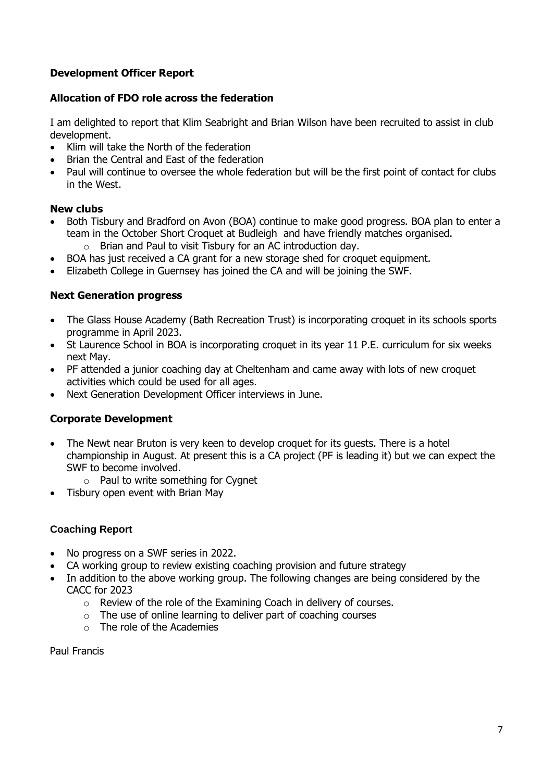# **Development Officer Report**

## **Allocation of FDO role across the federation**

I am delighted to report that Klim Seabright and Brian Wilson have been recruited to assist in club development.

- Klim will take the North of the federation
- Brian the Central and East of the federation
- Paul will continue to oversee the whole federation but will be the first point of contact for clubs in the West.

#### **New clubs**

- Both Tisbury and Bradford on Avon (BOA) continue to make good progress. BOA plan to enter a team in the October Short Croquet at Budleigh and have friendly matches organised. o Brian and Paul to visit Tisbury for an AC introduction day.
- BOA has just received a CA grant for a new storage shed for croquet equipment.
- Elizabeth College in Guernsey has joined the CA and will be joining the SWF.

#### **Next Generation progress**

- The Glass House Academy (Bath Recreation Trust) is incorporating croquet in its schools sports programme in April 2023.
- St Laurence School in BOA is incorporating croquet in its year 11 P.E. curriculum for six weeks next May.
- PF attended a junior coaching day at Cheltenham and came away with lots of new croquet activities which could be used for all ages.
- Next Generation Development Officer interviews in June.

## **Corporate Development**

- The Newt near Bruton is very keen to develop croquet for its quests. There is a hotel championship in August. At present this is a CA project (PF is leading it) but we can expect the SWF to become involved.
	- o Paul to write something for Cygnet
- Tisbury open event with Brian May

## **Coaching Report**

- No progress on a SWF series in 2022.
- CA working group to review existing coaching provision and future strategy
- In addition to the above working group. The following changes are being considered by the CACC for 2023
	- o Review of the role of the Examining Coach in delivery of courses.
	- $\circ$  The use of online learning to deliver part of coaching courses
	- o The role of the Academies

Paul Francis